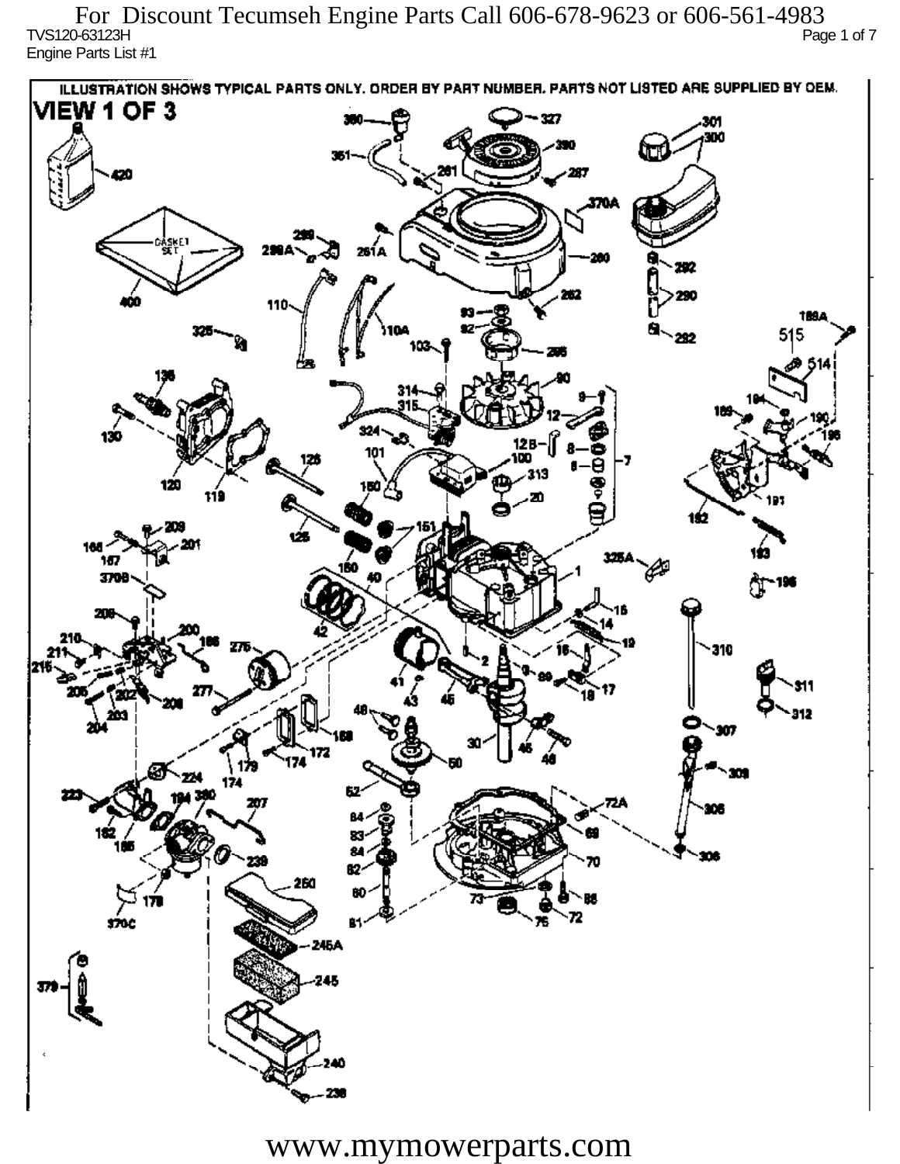TVS120-63123H Page 1 of 7 Engine Parts List #1 For Discount Tecumseh Engine Parts Call 606-678-9623 or 606-561-4983

ILLUSTRATION SHOWS TYPICAL PARTS ONLY. ORDER BY PART NUMBER, PARTS NOT LISTED ARE SUPPLIED BY DEM. **VIEW 1 OF 3** - 327 301 300 20 370A iskF1 261 A ж 292 290 110 1894 515 292 324 130 12 R 101 313 120 دھر 1ś2 ÚБ 160 167 160 P 3709 196 77 310 912 201 Ô,  $\mathbf{m}$ 172 174 174 182 ÷. ß2 260 72 sioc 76 81 245A 245 40

www.mymowerparts.com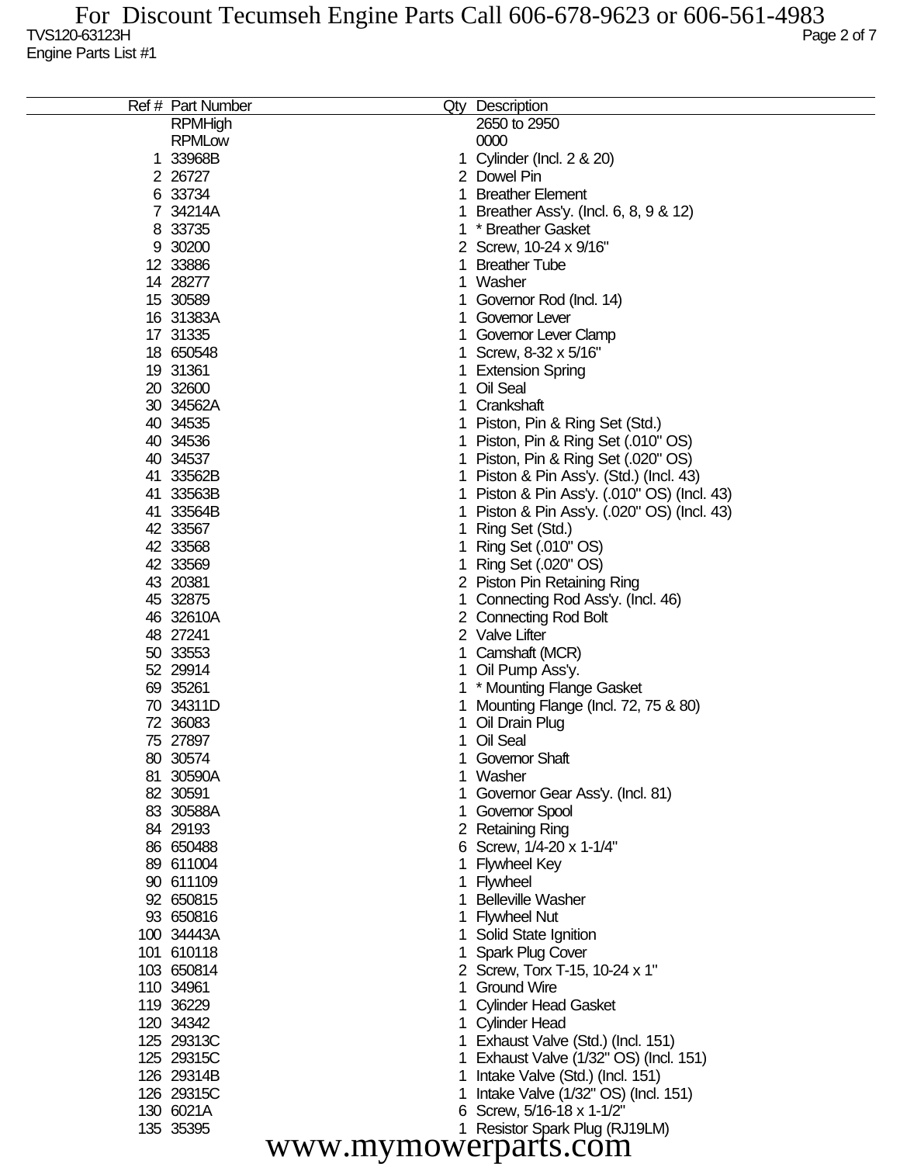|                      | Ref # Part Number |    | Qty Description                                          |  |  |
|----------------------|-------------------|----|----------------------------------------------------------|--|--|
|                      | <b>RPMHigh</b>    |    | 2650 to 2950                                             |  |  |
|                      | <b>RPMLow</b>     |    | 0000                                                     |  |  |
|                      | 1 33968B          | 1  | Cylinder (Incl. 2 & 20)                                  |  |  |
|                      | 2 26727           |    | 2 Dowel Pin                                              |  |  |
|                      | 6 33734           | 1  | <b>Breather Element</b>                                  |  |  |
|                      | 7 34214A          |    | Breather Ass'y. (Incl. 6, 8, 9 & 12)                     |  |  |
|                      | 8 33735           |    | * Breather Gasket                                        |  |  |
|                      | 9 30200           |    | 2 Screw, 10-24 x 9/16"                                   |  |  |
|                      | 12 33886          |    | <b>Breather Tube</b>                                     |  |  |
|                      | 14 28277          | 1  | Washer                                                   |  |  |
|                      | 15 30589          |    | Governor Rod (Incl. 14)                                  |  |  |
|                      | 16 31383A         |    | Governor Lever                                           |  |  |
|                      | 17 31335          |    | Governor Lever Clamp                                     |  |  |
|                      | 18 650548         |    | Screw, 8-32 x 5/16"                                      |  |  |
|                      | 19 31361          | 1  | <b>Extension Spring</b>                                  |  |  |
|                      | 20 32600          | 1  | Oil Seal                                                 |  |  |
|                      | 30 34562A         |    | Crankshaft                                               |  |  |
|                      | 40 34535          |    | Piston, Pin & Ring Set (Std.)                            |  |  |
|                      | 40 34536          |    | 1 Piston, Pin & Ring Set (.010" OS)                      |  |  |
|                      | 40 34537          | 1. | Piston, Pin & Ring Set (.020" OS)                        |  |  |
|                      | 41 33562B         | 1  | Piston & Pin Ass'y. (Std.) (Incl. 43)                    |  |  |
|                      | 41 33563B         | 1  | Piston & Pin Ass'y. (.010" OS) (Incl. 43)                |  |  |
|                      | 41 33564B         | 1  | Piston & Pin Ass'y. (.020" OS) (Incl. 43)                |  |  |
|                      | 42 33567          |    | Ring Set (Std.)                                          |  |  |
|                      | 42 33568          |    | Ring Set (.010" OS)                                      |  |  |
|                      | 42 33569          |    | Ring Set (.020" OS)                                      |  |  |
|                      | 43 20381          |    | 2 Piston Pin Retaining Ring                              |  |  |
|                      | 45 32875          | 1  | Connecting Rod Ass'y. (Incl. 46)                         |  |  |
|                      | 46 32610A         |    | 2 Connecting Rod Bolt                                    |  |  |
|                      | 48 27241          |    | 2 Valve Lifter                                           |  |  |
|                      | 50 33553          |    | Camshaft (MCR)                                           |  |  |
|                      | 52 29914          | 1  |                                                          |  |  |
|                      | 69 35261          |    | Oil Pump Ass'y.<br>* Mounting Flange Gasket              |  |  |
|                      | 70 34311D         |    |                                                          |  |  |
|                      | 72 36083          |    | Mounting Flange (Incl. 72, 75 & 80)<br>Oil Drain Plug    |  |  |
|                      | 75 27897          |    | Oil Seal                                                 |  |  |
|                      | 80 30 574         |    | <b>Governor Shaft</b>                                    |  |  |
|                      | 81 30590A         |    | Washer                                                   |  |  |
|                      | 82 30591          |    | Governor Gear Ass'y. (Incl. 81)                          |  |  |
|                      | 83 30588A         |    | Governor Spool                                           |  |  |
|                      | 84 29193          |    | 2 Retaining Ring                                         |  |  |
|                      | 86 650488         |    | 6 Screw, 1/4-20 x 1-1/4"                                 |  |  |
|                      | 89 611004         |    | <b>Flywheel Key</b>                                      |  |  |
|                      | 90 611109         |    | Flywheel                                                 |  |  |
|                      | 92 650815         |    | <b>Belleville Washer</b>                                 |  |  |
|                      | 93 650816         |    | <b>Flywheel Nut</b>                                      |  |  |
|                      | 100 34443A        |    | Solid State Ignition                                     |  |  |
|                      | 101 610118        |    | Spark Plug Cover                                         |  |  |
|                      | 103 650814        |    | 2 Screw, Torx T-15, 10-24 x 1"                           |  |  |
|                      | 110 34961         |    | <b>Ground Wire</b>                                       |  |  |
|                      | 119 36229         |    | <b>Cylinder Head Gasket</b>                              |  |  |
|                      | 120 34342         |    |                                                          |  |  |
|                      | 125 29313C        |    | <b>Cylinder Head</b><br>Exhaust Valve (Std.) (Incl. 151) |  |  |
|                      | 125 29315C        |    |                                                          |  |  |
|                      | 126 29314B        |    | Exhaust Valve (1/32" OS) (Incl. 151)                     |  |  |
|                      | 126 29315C        |    | Intake Valve (Std.) (Incl. 151)                          |  |  |
|                      | 130 6021A         |    | Intake Valve (1/32" OS) (Incl. 151)                      |  |  |
|                      | 135 35395         | 6  | Screw, 5/16-18 x 1-1/2"                                  |  |  |
|                      |                   |    | Resistor Spark Plug (RJ19LM)                             |  |  |
| www.mymowerparts.com |                   |    |                                                          |  |  |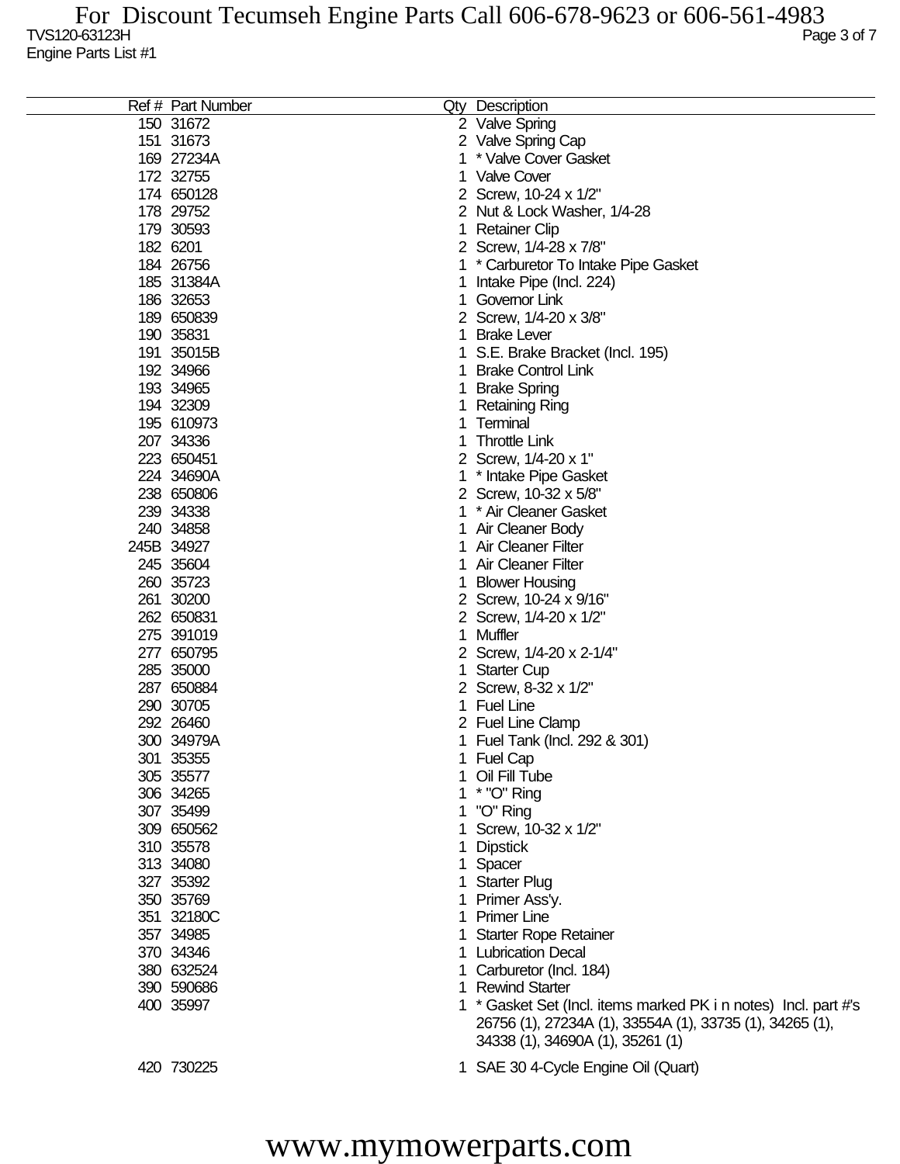| Ref # Part Number |   | Qty Description                                                 |
|-------------------|---|-----------------------------------------------------------------|
| 150 31672         |   | 2 Valve Spring                                                  |
| 151 31673         |   | 2 Valve Spring Cap                                              |
| 169 27234A        |   | * Valve Cover Gasket                                            |
| 172 32755         |   | <b>Valve Cover</b>                                              |
| 174 650128        |   | 2 Screw, 10-24 x 1/2"                                           |
| 178 29752         |   | 2 Nut & Lock Washer, 1/4-28                                     |
| 179 30593         |   | 1 Retainer Clip                                                 |
| 182 6201          |   | 2 Screw, 1/4-28 x 7/8"                                          |
| 184 26756         |   | * Carburetor To Intake Pipe Gasket                              |
| 185 31384A        | 1 | Intake Pipe (Incl. 224)                                         |
| 186 32653         |   | Governor Link                                                   |
| 189 650839        |   | 2 Screw, 1/4-20 x 3/8"                                          |
| 190 35831         |   | <b>Brake Lever</b>                                              |
| 191 35015B        |   | S.E. Brake Bracket (Incl. 195)                                  |
| 192 34966         |   | <b>Brake Control Link</b>                                       |
| 193 34965         |   | <b>Brake Spring</b>                                             |
| 194 32309         |   | Retaining Ring                                                  |
| 195 610973        |   | Terminal                                                        |
| 207 34336         |   | <b>Throttle Link</b>                                            |
| 223 650451        |   | 2 Screw, 1/4-20 x 1"                                            |
| 224 34690A        |   |                                                                 |
|                   |   | * Intake Pipe Gasket                                            |
| 238 650806        |   | 2 Screw, 10-32 x 5/8"                                           |
| 239 34338         |   | * Air Cleaner Gasket                                            |
| 240 34858         |   | 1 Air Cleaner Body                                              |
| 245B 34927        |   | <b>Air Cleaner Filter</b>                                       |
| 245 35604         |   | Air Cleaner Filter                                              |
| 260 35723         |   | <b>Blower Housing</b>                                           |
| 261 30200         |   | 2 Screw, 10-24 x 9/16"                                          |
| 262 650831        |   | 2 Screw, 1/4-20 x 1/2"                                          |
| 275 391019        |   | Muffler                                                         |
| 277 650795        |   | 2 Screw, 1/4-20 x 2-1/4"                                        |
| 285 35000         |   | <b>Starter Cup</b>                                              |
| 287 650884        |   | 2 Screw, 8-32 x 1/2"                                            |
| 290 30705         |   | 1 Fuel Line                                                     |
| 292 26460         |   | 2 Fuel Line Clamp                                               |
| 300 34979A        |   | 1 Fuel Tank (Incl. 292 & 301)                                   |
| 301 35355         |   | 1 Fuel Cap                                                      |
| 305 35577         |   | 1 Oil Fill Tube                                                 |
| 306 34265         |   | 1 * "O" Ring                                                    |
| 307 35499         |   | 1 "O" Ring                                                      |
| 309 650562        |   | 1 Screw, 10-32 x 1/2"                                           |
| 310 35578         |   | <b>Dipstick</b>                                                 |
| 313 34080         |   | 1 Spacer                                                        |
| 327 35392         |   | 1 Starter Plug                                                  |
| 350 35769         |   | 1 Primer Ass'y.                                                 |
| 351 32180C        |   | 1 Primer Line                                                   |
| 357 34985         |   | 1 Starter Rope Retainer                                         |
| 370 34346         |   | 1 Lubrication Decal                                             |
| 380 632524        |   | 1 Carburetor (Incl. 184)                                        |
| 390 590686        |   | 1 Rewind Starter                                                |
| 400 35997         |   | 1 * Gasket Set (Incl. items marked PK i n notes) Incl. part #'s |
|                   |   | 26756 (1), 27234A (1), 33554A (1), 33735 (1), 34265 (1),        |
|                   |   | 34338 (1), 34690A (1), 35261 (1)                                |
|                   |   |                                                                 |
| 420 730225        |   | 1 SAE 30 4-Cycle Engine Oil (Quart)                             |

## www.mymowerparts.com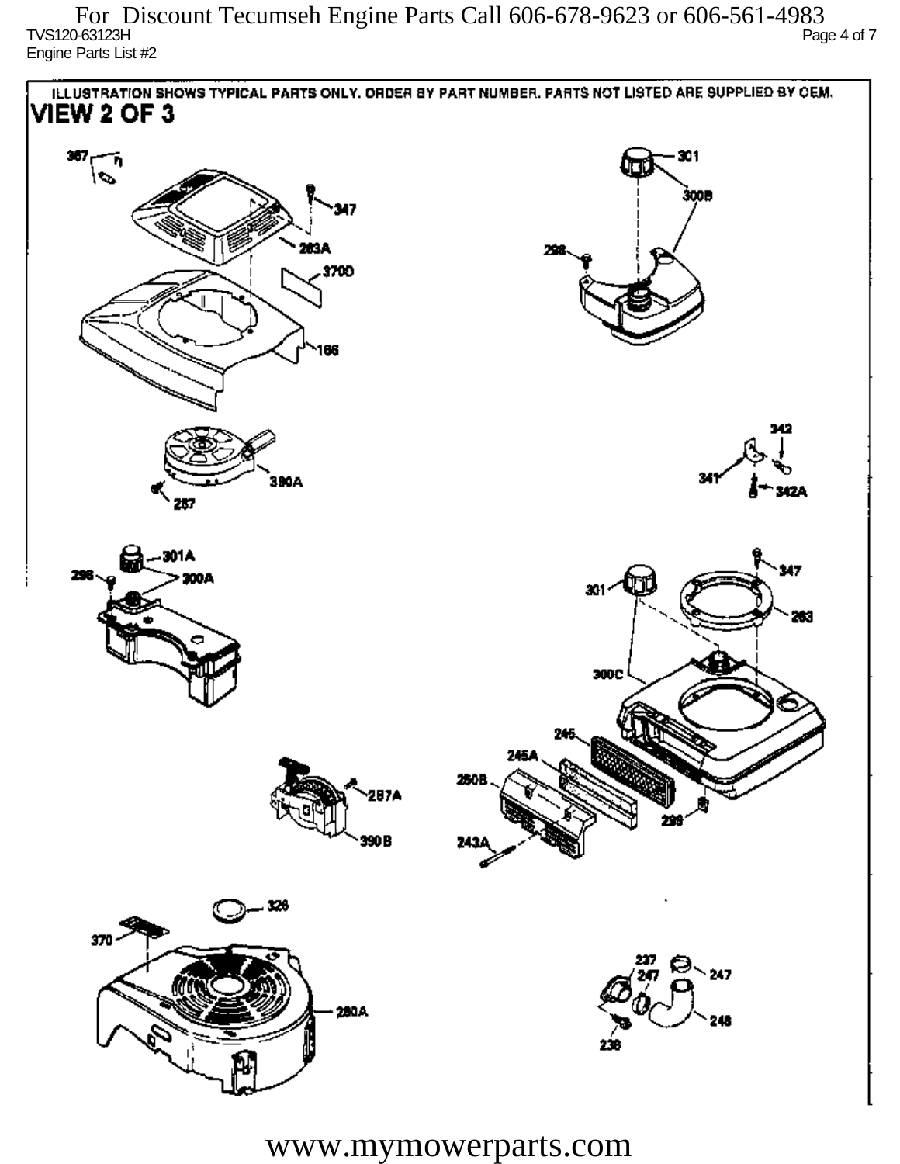$\overline{C}$  TVS120-63123H Page 4 of 7 Engine Parts List #2 For Discount Tecumseh Engine Parts Call 606-678-9623 or 606-561-4983



www.mymowerparts.com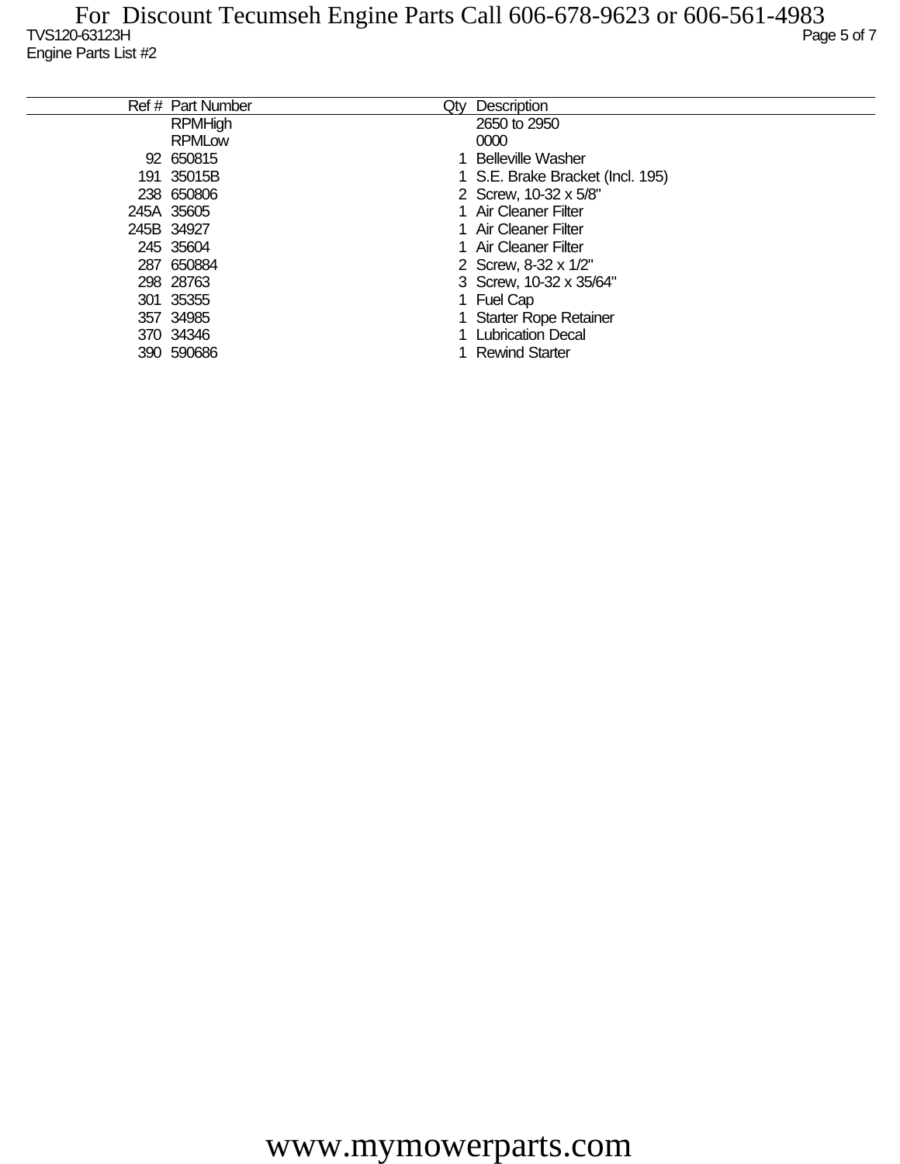| Ref # Part Number | Qty | Description                      |
|-------------------|-----|----------------------------------|
| <b>RPMHigh</b>    |     | 2650 to 2950                     |
| <b>RPMLow</b>     |     | 0000                             |
| 92 650815         |     | 1 Belleville Washer              |
| 191 35015B        |     | 1 S.E. Brake Bracket (Incl. 195) |
| 238 650806        |     | 2 Screw, 10-32 x 5/8"            |
| 245A 35605        |     | 1 Air Cleaner Filter             |
| 245B 34927        |     | 1 Air Cleaner Filter             |
| 245 35604         |     | 1 Air Cleaner Filter             |
| 287 650884        |     | 2 Screw, 8-32 x 1/2"             |
| 298 28763         |     | 3 Screw, 10-32 x 35/64"          |
| 301 35355         |     | 1 Fuel Cap                       |
| 357 34985         |     | 1 Starter Rope Retainer          |
| 370 34346         |     | 1 Lubrication Decal              |
| 390 590686        |     | <b>Rewind Starter</b>            |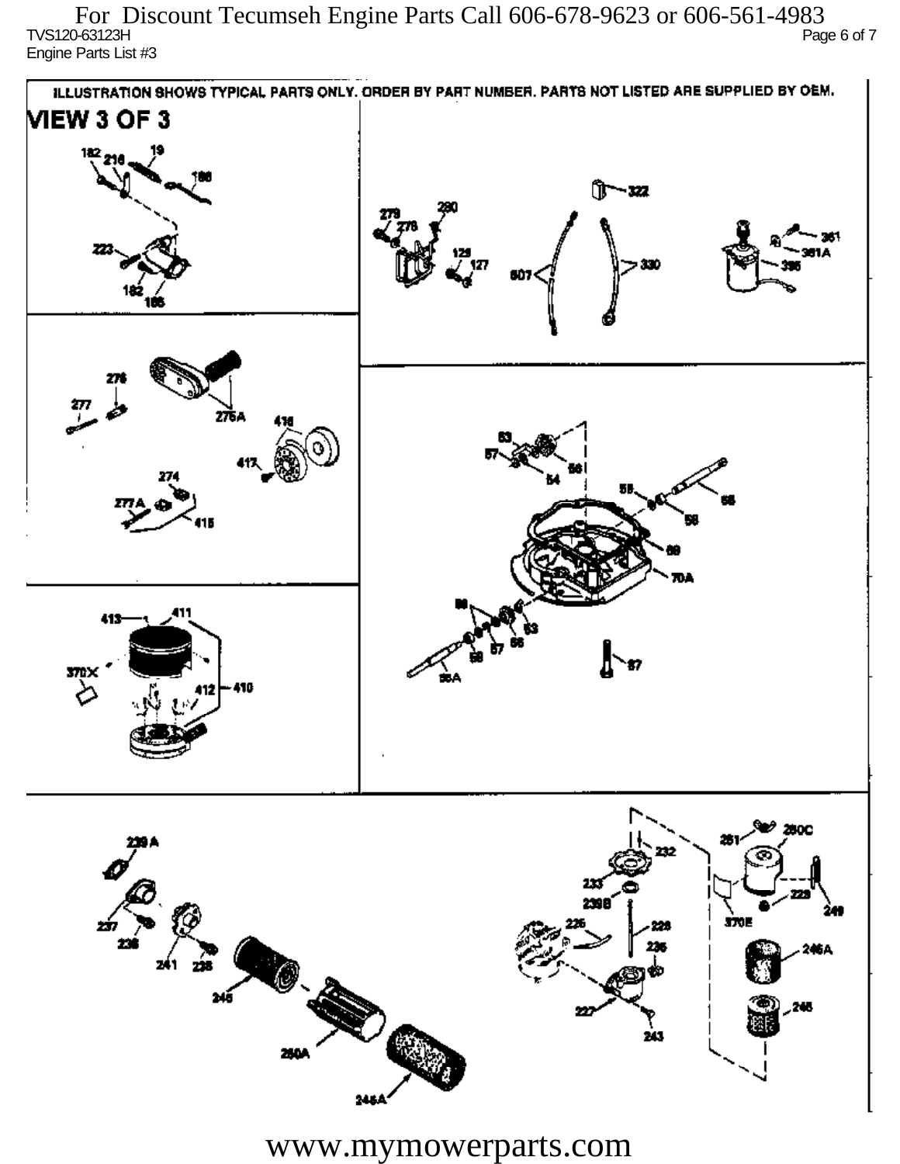$\overline{C}$  TVS120-63123H Page 6 of 7 Engine Parts List #3 For Discount Tecumseh Engine Parts Call 606-678-9623 or 606-561-4983



www.mymowerparts.com